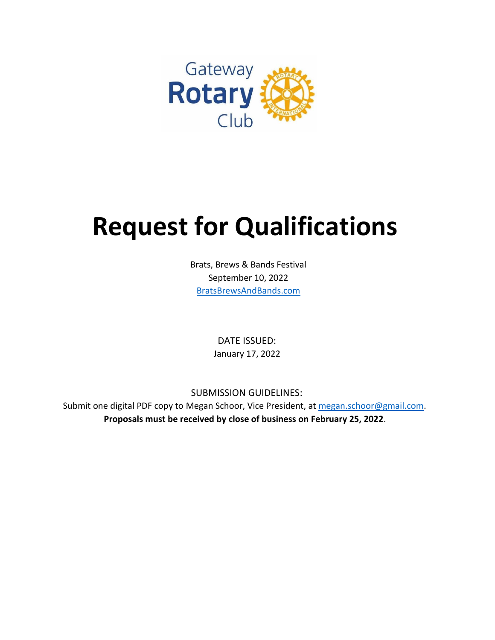

# **Request for Qualifications**

Brats, Brews & Bands Festival September 10, 2022 [BratsBrewsAndBands.com](https://bratsbrewsandbands.com/)

> DATE ISSUED: January 17, 2022

SUBMISSION GUIDELINES:

Submit one digital PDF copy to Megan Schoor, Vice President, at [megan.schoor@gmail.com.](mailto:megan.schoor@gmail.com) **Proposals must be received by close of business on February 25, 2022**.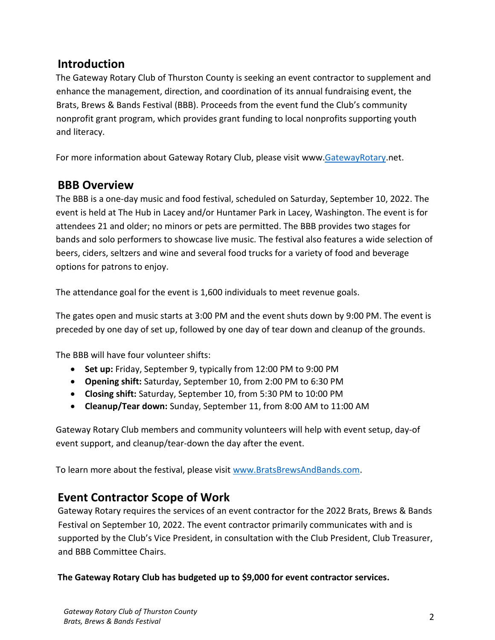## **Introduction**

The Gateway Rotary Club of Thurston County is seeking an event contractor to supplement and enhance the management, direction, and coordination of its annual fundraising event, the Brats, Brews & Bands Festival (BBB). Proceeds from the event fund the Club's community nonprofit grant program, which provides grant funding to local nonprofits supporting youth and literacy.

For more information about Gateway Rotary Club, please visit www[.GatewayRotary.](http://www.gatewayrotary.net/)net.

### **BBB Overview**

The BBB is a one-day music and food festival, scheduled on Saturday, September 10, 2022. The event is held at The Hub in Lacey and/or Huntamer Park in Lacey, Washington. The event is for attendees 21 and older; no minors or pets are permitted. The BBB provides two stages for bands and solo performers to showcase live music. The festival also features a wide selection of beers, ciders, seltzers and wine and several food trucks for a variety of food and beverage options for patrons to enjoy.

The attendance goal for the event is 1,600 individuals to meet revenue goals.

The gates open and music starts at 3:00 PM and the event shuts down by 9:00 PM. The event is preceded by one day of set up, followed by one day of tear down and cleanup of the grounds.

The BBB will have four volunteer shifts:

- **Set up:** Friday, September 9, typically from 12:00 PM to 9:00 PM
- **Opening shift:** Saturday, September 10, from 2:00 PM to 6:30 PM
- **Closing shift:** Saturday, September 10, from 5:30 PM to 10:00 PM
- **Cleanup/Tear down:** Sunday, September 11, from 8:00 AM to 11:00 AM

Gateway Rotary Club members and community volunteers will help with event setup, day-of event support, and cleanup/tear-down the day after the event.

To learn more about the festival, please visit [www.BratsBrewsAndBands.com.](http://www.bratsbrewsandbands.com/)

## **Event Contractor Scope of Work**

Gateway Rotary requires the services of an event contractor for the 2022 Brats, Brews & Bands Festival on September 10, 2022. The event contractor primarily communicates with and is supported by the Club's Vice President, in consultation with the Club President, Club Treasurer, and BBB Committee Chairs.

**The Gateway Rotary Club has budgeted up to \$9,000 for event contractor services.**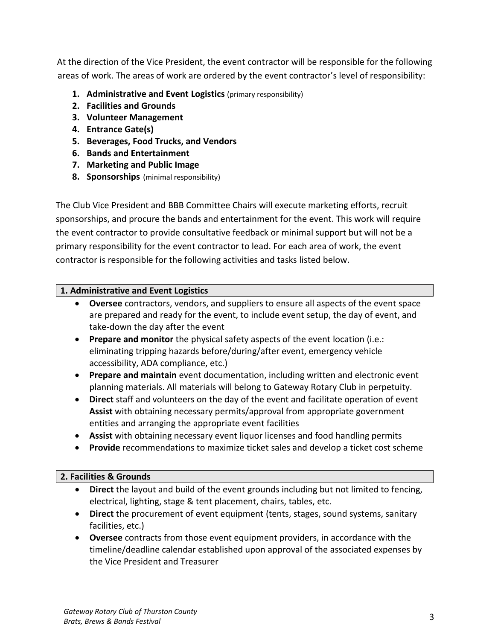At the direction of the Vice President, the event contractor will be responsible for the following areas of work. The areas of work are ordered by the event contractor's level of responsibility:

- **1. Administrative and Event Logistics** (primary responsibility)
- **2. Facilities and Grounds**
- **3. Volunteer Management**
- **4. Entrance Gate(s)**
- **5. Beverages, Food Trucks, and Vendors**
- **6. Bands and Entertainment**
- **7. Marketing and Public Image**
- **8. Sponsorships** (minimal responsibility)

The Club Vice President and BBB Committee Chairs will execute marketing efforts, recruit sponsorships, and procure the bands and entertainment for the event. This work will require the event contractor to provide consultative feedback or minimal support but will not be a primary responsibility for the event contractor to lead. For each area of work, the event contractor is responsible for the following activities and tasks listed below.

#### **1. Administrative and Event Logistics**

- **Oversee** contractors, vendors, and suppliers to ensure all aspects of the event space are prepared and ready for the event, to include event setup, the day of event, and take-down the day after the event
- **Prepare and monitor** the physical safety aspects of the event location (i.e.: eliminating tripping hazards before/during/after event, emergency vehicle accessibility, ADA compliance, etc.)
- **Prepare and maintain** event documentation, including written and electronic event planning materials. All materials will belong to Gateway Rotary Club in perpetuity.
- **Direct** staff and volunteers on the day of the event and facilitate operation of event **Assist** with obtaining necessary permits/approval from appropriate government entities and arranging the appropriate event facilities
- **Assist** with obtaining necessary event liquor licenses and food handling permits
- **Provide** recommendations to maximize ticket sales and develop a ticket cost scheme

#### **2. Facilities & Grounds**

- **Direct** the layout and build of the event grounds including but not limited to fencing, electrical, lighting, stage & tent placement, chairs, tables, etc.
- **Direct** the procurement of event equipment (tents, stages, sound systems, sanitary facilities, etc.)
- **Oversee** contracts from those event equipment providers, in accordance with the timeline/deadline calendar established upon approval of the associated expenses by the Vice President and Treasurer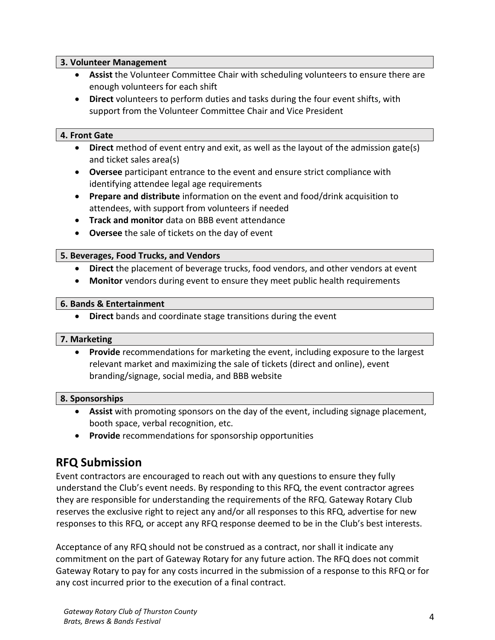#### **3. Volunteer Management**

- **Assist** the Volunteer Committee Chair with scheduling volunteers to ensure there are enough volunteers for each shift
- **Direct** volunteers to perform duties and tasks during the four event shifts, with support from the Volunteer Committee Chair and Vice President

#### **4. Front Gate**

- **Direct** method of event entry and exit, as well as the layout of the admission gate(s) and ticket sales area(s)
- **Oversee** participant entrance to the event and ensure strict compliance with identifying attendee legal age requirements
- **Prepare and distribute** information on the event and food/drink acquisition to attendees, with support from volunteers if needed
- **Track and monitor** data on BBB event attendance
- **Oversee** the sale of tickets on the day of event

#### **5. Beverages, Food Trucks, and Vendors**

- **Direct** the placement of beverage trucks, food vendors, and other vendors at event
- **Monitor** vendors during event to ensure they meet public health requirements

#### **6. Bands & Entertainment**

**Direct** bands and coordinate stage transitions during the event

#### **7. Marketing**

 **Provide** recommendations for marketing the event, including exposure to the largest relevant market and maximizing the sale of tickets (direct and online), event branding/signage, social media, and BBB website

#### **8. Sponsorships**

- **Assist** with promoting sponsors on the day of the event, including signage placement, booth space, verbal recognition, etc.
- **Provide** recommendations for sponsorship opportunities

## **RFQ Submission**

Event contractors are encouraged to reach out with any questions to ensure they fully understand the Club's event needs. By responding to this RFQ, the event contractor agrees they are responsible for understanding the requirements of the RFQ. Gateway Rotary Club reserves the exclusive right to reject any and/or all responses to this RFQ, advertise for new responses to this RFQ, or accept any RFQ response deemed to be in the Club's best interests.

Acceptance of any RFQ should not be construed as a contract, nor shall it indicate any commitment on the part of Gateway Rotary for any future action. The RFQ does not commit Gateway Rotary to pay for any costs incurred in the submission of a response to this RFQ or for any cost incurred prior to the execution of a final contract.